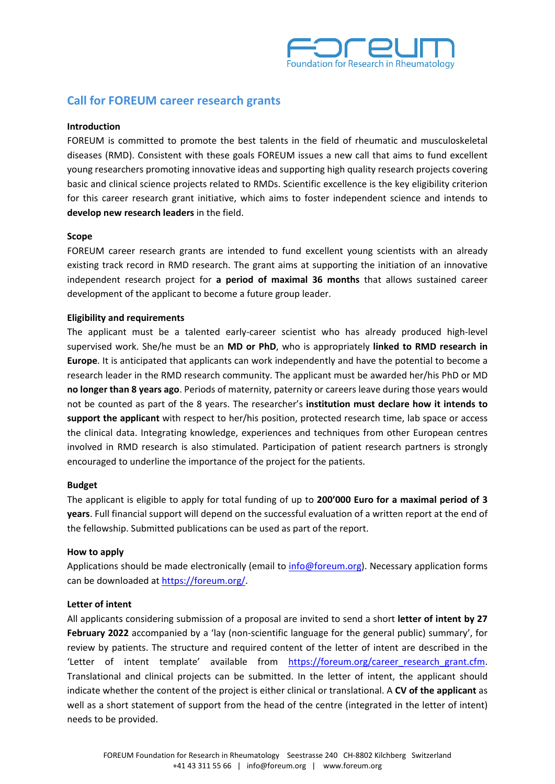

# **Call for FOREUM career research grants**

## **Introduction**

FOREUM is committed to promote the best talents in the field of rheumatic and musculoskeletal diseases (RMD). Consistent with these goals FOREUM issues a new call that aims to fund excellent young researchers promoting innovative ideas and supporting high quality research projects covering basic and clinical science projects related to RMDs. Scientific excellence is the key eligibility criterion for this career research grant initiative, which aims to foster independent science and intends to **develop new research leaders** in the field.

### **Scope**

FOREUM career research grants are intended to fund excellent young scientists with an already existing track record in RMD research. The grant aims at supporting the initiation of an innovative independent research project for **a period of maximal 36 months** that allows sustained career development of the applicant to become a future group leader.

### **Eligibility and requirements**

The applicant must be a talented early-career scientist who has already produced high-level supervised work. She/he must be an **MD or PhD**, who is appropriately **linked to RMD research in Europe**. It is anticipated that applicants can work independently and have the potential to become a research leader in the RMD research community. The applicant must be awarded her/his PhD or MD **no longer than 8 years ago**. Periods of maternity, paternity or careers leave during those years would not be counted as part of the 8 years. The researcher's **institution must declare how it intends to support the applicant** with respect to her/his position, protected research time, lab space or access the clinical data. Integrating knowledge, experiences and techniques from other European centres involved in RMD research is also stimulated. Participation of patient research partners is strongly encouraged to underline the importance of the project for the patients.

#### **Budget**

The applicant is eligible to apply for total funding of up to **200'000 Euro for a maximal period of 3 years**. Full financial support will depend on the successful evaluation of a written report at the end of the fellowship. Submitted publications can be used as part of the report.

# **How to apply**

Applications should be made electronically (email to [info@foreum.org\)](mailto:info@foreum.org). Necessary application forms can be downloaded a[t https://foreum.org/.](https://foreum.org/)

# **Letter of intent**

All applicants considering submission of a proposal are invited to send a short **letter of intent by 27 February 2022** accompanied by a 'lay (non-scientific language for the general public) summary', for review by patients. The structure and required content of the letter of intent are described in the 'Letter of intent template' available from [https://foreum.org/career\\_research\\_grant.cfm.](https://foreum.org/career_research_grant.cfm) Translational and clinical projects can be submitted. In the letter of intent, the applicant should indicate whether the content of the project is either clinical or translational. A **CV of the applicant** as well as a short statement of support from the head of the centre (integrated in the letter of intent) needs to be provided.